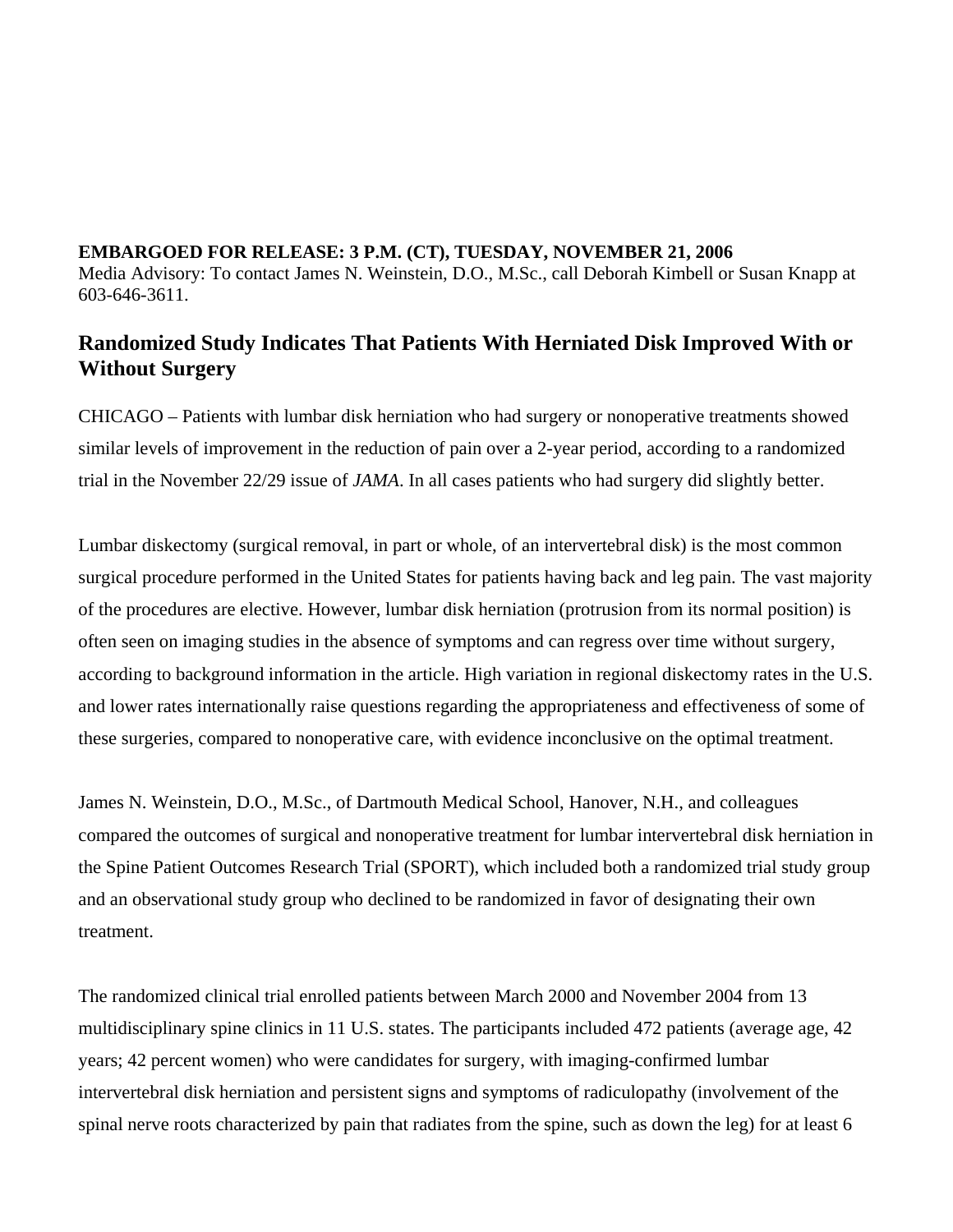## **EMBARGOED FOR RELEASE: 3 P.M. (CT), TUESDAY, NOVEMBER 21, 2006**  Media Advisory: To contact James N. Weinstein, D.O., M.Sc., call Deborah Kimbell or Susan Knapp at 603-646-3611.

## **Randomized Study Indicates That Patients With Herniated Disk Improved With or Without Surgery**

CHICAGO – Patients with lumbar disk herniation who had surgery or nonoperative treatments showed similar levels of improvement in the reduction of pain over a 2-year period, according to a randomized trial in the November 22/29 issue of *JAMA*. In all cases patients who had surgery did slightly better.

Lumbar diskectomy (surgical removal, in part or whole, of an intervertebral disk) is the most common surgical procedure performed in the United States for patients having back and leg pain. The vast majority of the procedures are elective. However, lumbar disk herniation (protrusion from its normal position) is often seen on imaging studies in the absence of symptoms and can regress over time without surgery, according to background information in the article. High variation in regional diskectomy rates in the U.S. and lower rates internationally raise questions regarding the appropriateness and effectiveness of some of these surgeries, compared to nonoperative care, with evidence inconclusive on the optimal treatment.

James N. Weinstein, D.O., M.Sc., of Dartmouth Medical School, Hanover, N.H., and colleagues compared the outcomes of surgical and nonoperative treatment for lumbar intervertebral disk herniation in the Spine Patient Outcomes Research Trial (SPORT), which included both a randomized trial study group and an observational study group who declined to be randomized in favor of designating their own treatment.

The randomized clinical trial enrolled patients between March 2000 and November 2004 from 13 multidisciplinary spine clinics in 11 U.S. states. The participants included 472 patients (average age, 42 years; 42 percent women) who were candidates for surgery, with imaging-confirmed lumbar intervertebral disk herniation and persistent signs and symptoms of radiculopathy (involvement of the spinal nerve roots characterized by pain that radiates from the spine, such as down the leg) for at least 6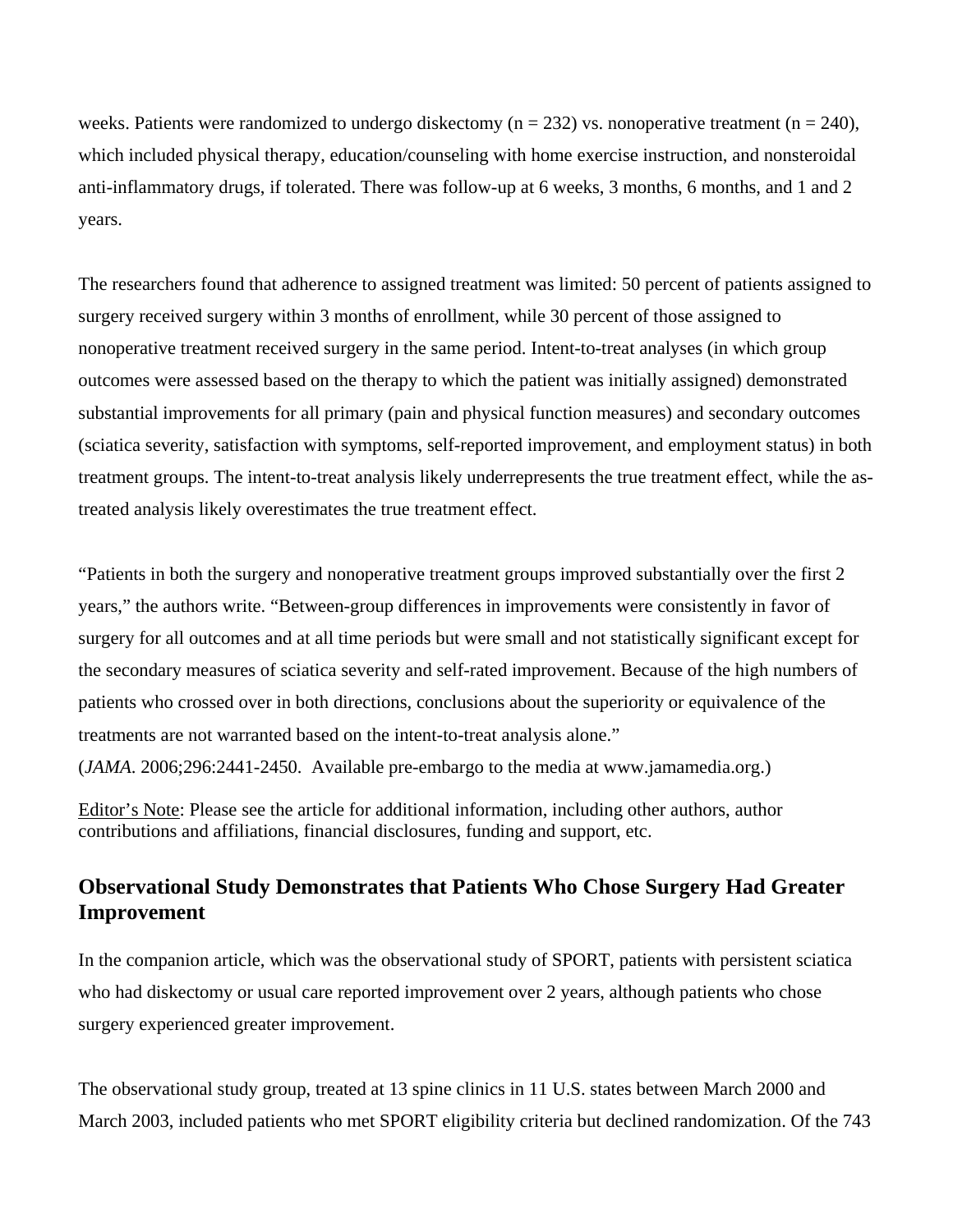weeks. Patients were randomized to undergo diskectomy ( $n = 232$ ) vs. nonoperative treatment ( $n = 240$ ), which included physical therapy, education/counseling with home exercise instruction, and nonsteroidal anti-inflammatory drugs, if tolerated. There was follow-up at 6 weeks, 3 months, 6 months, and 1 and 2 years.

The researchers found that adherence to assigned treatment was limited: 50 percent of patients assigned to surgery received surgery within 3 months of enrollment, while 30 percent of those assigned to nonoperative treatment received surgery in the same period. Intent-to-treat analyses (in which group outcomes were assessed based on the therapy to which the patient was initially assigned) demonstrated substantial improvements for all primary (pain and physical function measures) and secondary outcomes (sciatica severity, satisfaction with symptoms, self-reported improvement, and employment status) in both treatment groups. The intent-to-treat analysis likely underrepresents the true treatment effect, while the astreated analysis likely overestimates the true treatment effect.

"Patients in both the surgery and nonoperative treatment groups improved substantially over the first 2 years," the authors write. "Between-group differences in improvements were consistently in favor of surgery for all outcomes and at all time periods but were small and not statistically significant except for the secondary measures of sciatica severity and self-rated improvement. Because of the high numbers of patients who crossed over in both directions, conclusions about the superiority or equivalence of the treatments are not warranted based on the intent-to-treat analysis alone."

(*JAMA*. 2006;296:2441-2450. Available pre-embargo to the media at www.jamamedia.org.)

Editor's Note: Please see the article for additional information, including other authors, author contributions and affiliations, financial disclosures, funding and support, etc.

## **Observational Study Demonstrates that Patients Who Chose Surgery Had Greater Improvement**

In the companion article, which was the observational study of SPORT, patients with persistent sciatica who had diskectomy or usual care reported improvement over 2 years, although patients who chose surgery experienced greater improvement.

The observational study group, treated at 13 spine clinics in 11 U.S. states between March 2000 and March 2003, included patients who met SPORT eligibility criteria but declined randomization. Of the 743